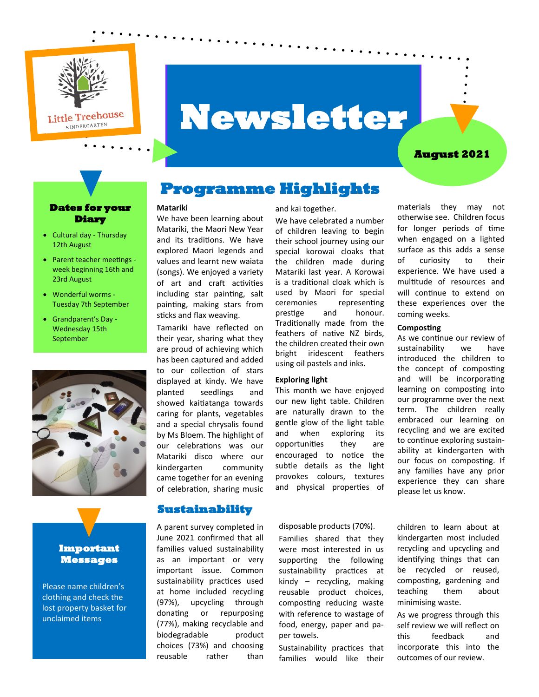

# **Newsletter**

#### **August 2021**

#### **Dates for your Diary**

- Cultural day Thursday 12th August
- Parent teacher meetings week beginning 16th and 23rd August
- Wonderful worms Tuesday 7th September
- Grandparent's Day Wednesday 15th September



#### **Important Messages**

Please name children's clothing and check the lost property basket for unclaimed items

## **Programme Highlights**

#### **Matariki**

We have been learning about Matariki, the Maori New Year and its traditions. We have explored Maori legends and values and learnt new waiata (songs). We enjoyed a variety of art and craft activities including star painting, salt painting, making stars from sticks and flax weaving.

Tamariki have reflected on their year, sharing what they are proud of achieving which has been captured and added to our collection of stars displayed at kindy. We have planted seedlings and showed kaitiatanga towards caring for plants, vegetables and a special chrysalis found by Ms Bloem. The highlight of our celebrations was our Matariki disco where our kindergarten community came together for an evening of celebration, sharing music

**Sustainability** 

A parent survey completed in June 2021 confirmed that all families valued sustainability as an important or very important issue. Common sustainability practices used at home included recycling (97%), upcycling through donating or repurposing (77%), making recyclable and biodegradable product choices (73%) and choosing reusable rather than

#### and kai together.

We have celebrated a number of children leaving to begin their school journey using our special korowai cloaks that the children made during Matariki last year. A Korowai is a traditional cloak which is used by Maori for special ceremonies representing prestige and honour. Traditionally made from the feathers of native NZ birds, the children created their own bright iridescent feathers using oil pastels and inks.

#### **Exploring light**

This month we have enjoyed our new light table. Children are naturally drawn to the gentle glow of the light table and when exploring its opportunities they are encouraged to notice the subtle details as the light provokes colours, textures and physical properties of

#### disposable products (70%).

Families shared that they were most interested in us supporting the following sustainability practices at kindy – recycling, making reusable product choices, composting reducing waste with reference to wastage of food, energy, paper and paper towels.

Sustainability practices that families would like their

materials they may not otherwise see. Children focus for longer periods of time when engaged on a lighted surface as this adds a sense of curiosity to their experience. We have used a multitude of resources and will continue to extend on these experiences over the coming weeks.

#### **Composting**

As we continue our review of sustainability we have introduced the children to the concept of composting and will be incorporating learning on composting into our programme over the next term. The children really embraced our learning on recycling and we are excited to continue exploring sustainability at kindergarten with our focus on composting. If any families have any prior experience they can share please let us know.

children to learn about at kindergarten most included recycling and upcycling and identifying things that can be recycled or reused, composting, gardening and teaching them about minimising waste.

As we progress through this self review we will reflect on this feedback and incorporate this into the outcomes of our review.